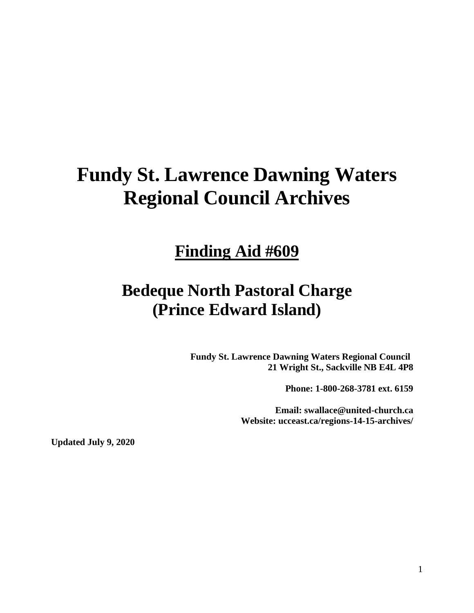# **Fundy St. Lawrence Dawning Waters Regional Council Archives**

# **Finding Aid #609**

# **Bedeque North Pastoral Charge (Prince Edward Island)**

**Fundy St. Lawrence Dawning Waters Regional Council 21 Wright St., Sackville NB E4L 4P8**

**Phone: 1-800-268-3781 ext. 6159**

**Email: swallace@united-church.ca Website: ucceast.ca/regions-14-15-archives/**

**Updated July 9, 2020**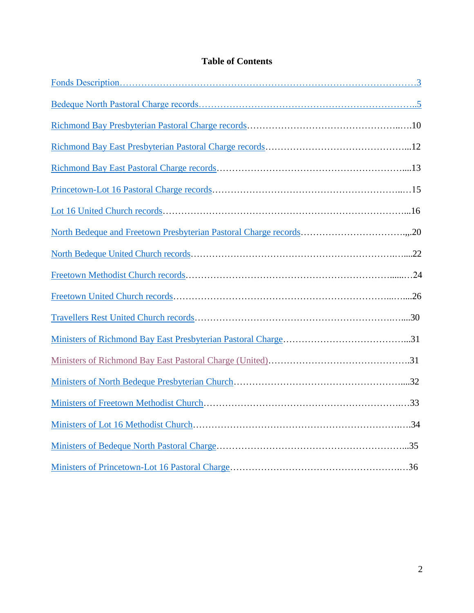# **Table of Contents**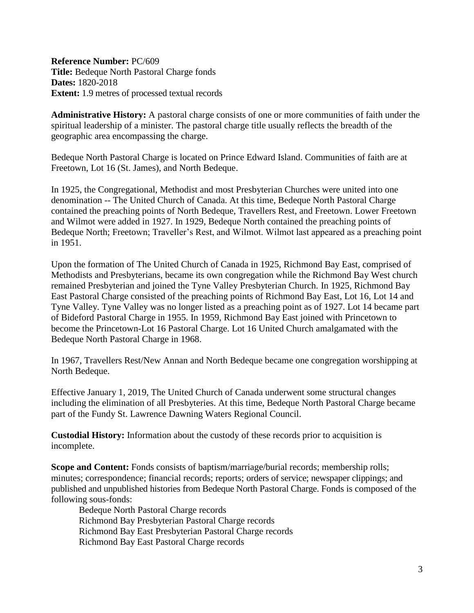<span id="page-2-0"></span>**Reference Number:** PC/609 **Title:** Bedeque North Pastoral Charge fonds **Dates:** 1820-2018 **Extent:** 1.9 metres of processed textual records

**Administrative History:** A pastoral charge consists of one or more communities of faith under the spiritual leadership of a minister. The pastoral charge title usually reflects the breadth of the geographic area encompassing the charge.

Bedeque North Pastoral Charge is located on Prince Edward Island. Communities of faith are at Freetown, Lot 16 (St. James), and North Bedeque.

In 1925, the Congregational, Methodist and most Presbyterian Churches were united into one denomination -- The United Church of Canada. At this time, Bedeque North Pastoral Charge contained the preaching points of North Bedeque, Travellers Rest, and Freetown. Lower Freetown and Wilmot were added in 1927. In 1929, Bedeque North contained the preaching points of Bedeque North; Freetown; Traveller's Rest, and Wilmot. Wilmot last appeared as a preaching point in 1951.

Upon the formation of The United Church of Canada in 1925, Richmond Bay East, comprised of Methodists and Presbyterians, became its own congregation while the Richmond Bay West church remained Presbyterian and joined the Tyne Valley Presbyterian Church. In 1925, Richmond Bay East Pastoral Charge consisted of the preaching points of Richmond Bay East, Lot 16, Lot 14 and Tyne Valley. Tyne Valley was no longer listed as a preaching point as of 1927. Lot 14 became part of Bideford Pastoral Charge in 1955. In 1959, Richmond Bay East joined with Princetown to become the Princetown-Lot 16 Pastoral Charge. Lot 16 United Church amalgamated with the Bedeque North Pastoral Charge in 1968.

In 1967, Travellers Rest/New Annan and North Bedeque became one congregation worshipping at North Bedeque.

Effective January 1, 2019, The United Church of Canada underwent some structural changes including the elimination of all Presbyteries. At this time, Bedeque North Pastoral Charge became part of the Fundy St. Lawrence Dawning Waters Regional Council.

**Custodial History:** Information about the custody of these records prior to acquisition is incomplete.

**Scope and Content:** Fonds consists of baptism/marriage/burial records; membership rolls; minutes; correspondence; financial records; reports; orders of service; newspaper clippings; and published and unpublished histories from Bedeque North Pastoral Charge. Fonds is composed of the following sous-fonds:

Bedeque North Pastoral Charge records Richmond Bay Presbyterian Pastoral Charge records Richmond Bay East Presbyterian Pastoral Charge records Richmond Bay East Pastoral Charge records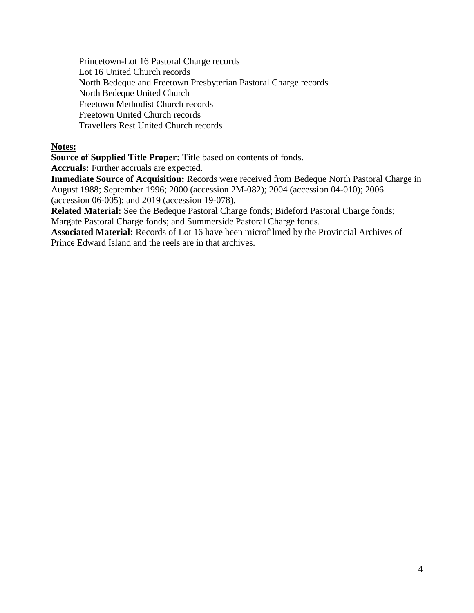Princetown-Lot 16 Pastoral Charge records Lot 16 United Church records North Bedeque and Freetown Presbyterian Pastoral Charge records North Bedeque United Church Freetown Methodist Church records Freetown United Church records Travellers Rest United Church records

# **Notes:**

**Source of Supplied Title Proper:** Title based on contents of fonds.

**Accruals:** Further accruals are expected.

**Immediate Source of Acquisition:** Records were received from Bedeque North Pastoral Charge in August 1988; September 1996; 2000 (accession 2M-082); 2004 (accession 04-010); 2006 (accession 06-005); and 2019 (accession 19-078).

**Related Material:** See the Bedeque Pastoral Charge fonds; Bideford Pastoral Charge fonds; Margate Pastoral Charge fonds; and Summerside Pastoral Charge fonds.

**Associated Material:** Records of Lot 16 have been microfilmed by the Provincial Archives of Prince Edward Island and the reels are in that archives.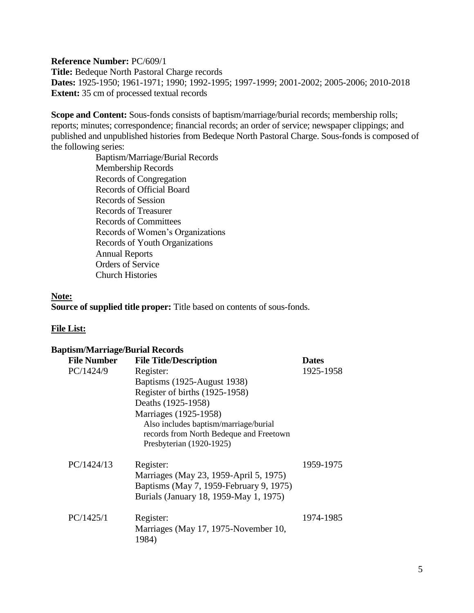<span id="page-4-0"></span>**Reference Number:** PC/609/1 **Title:** Bedeque North Pastoral Charge records **Dates:** 1925-1950; 1961-1971; 1990; 1992-1995; 1997-1999; 2001-2002; 2005-2006; 2010-2018 **Extent:** 35 cm of processed textual records

**Scope and Content:** Sous-fonds consists of baptism/marriage/burial records; membership rolls; reports; minutes; correspondence; financial records; an order of service; newspaper clippings; and published and unpublished histories from Bedeque North Pastoral Charge. Sous-fonds is composed of the following series:

> Baptism/Marriage/Burial Records Membership Records Records of Congregation Records of Official Board Records of Session Records of Treasurer Records of Committees Records of Women's Organizations Records of Youth Organizations Annual Reports Orders of Service Church Histories

#### **Note:**

**Source of supplied title proper:** Title based on contents of sous-fonds.

#### **File List:**

| <b>Baptism/Marriage/Burial Records</b> |                                                                                                              |              |  |
|----------------------------------------|--------------------------------------------------------------------------------------------------------------|--------------|--|
| <b>File Number</b>                     | <b>File Title/Description</b>                                                                                | <b>Dates</b> |  |
| PC/1424/9                              | Register:                                                                                                    | 1925-1958    |  |
|                                        | Baptisms (1925-August 1938)                                                                                  |              |  |
|                                        | Register of births (1925-1958)                                                                               |              |  |
|                                        | Deaths (1925-1958)                                                                                           |              |  |
|                                        | Marriages (1925-1958)                                                                                        |              |  |
|                                        | Also includes baptism/marriage/burial<br>records from North Bedeque and Freetown<br>Presbyterian (1920-1925) |              |  |
| PC/1424/13                             | Register:                                                                                                    | 1959-1975    |  |
|                                        | Marriages (May 23, 1959-April 5, 1975)                                                                       |              |  |
|                                        | Baptisms (May 7, 1959-February 9, 1975)                                                                      |              |  |
|                                        | Burials (January 18, 1959-May 1, 1975)                                                                       |              |  |
| PC/1425/1                              | Register:                                                                                                    | 1974-1985    |  |
|                                        | Marriages (May 17, 1975-November 10,<br>1984)                                                                |              |  |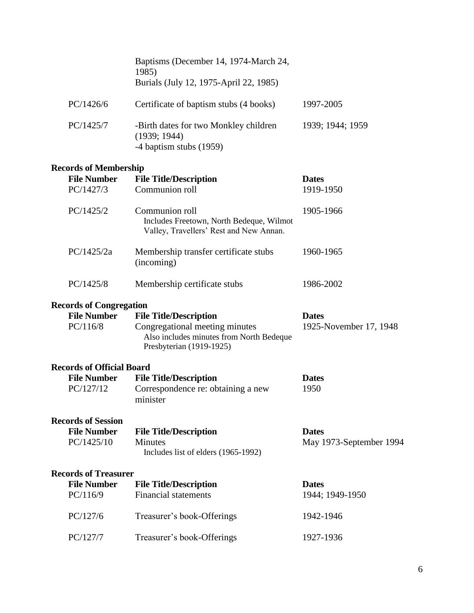|                                  | Baptisms (December 14, 1974-March 24,<br>1985)<br>Burials (July 12, 1975-April 22, 1985)               |                         |
|----------------------------------|--------------------------------------------------------------------------------------------------------|-------------------------|
| PC/1426/6                        | Certificate of baptism stubs (4 books)                                                                 | 1997-2005               |
| PC/1425/7                        | -Birth dates for two Monkley children<br>(1939; 1944)<br>-4 baptism stubs (1959)                       | 1939; 1944; 1959        |
| <b>Records of Membership</b>     |                                                                                                        |                         |
| <b>File Number</b>               | <b>File Title/Description</b>                                                                          | <b>Dates</b>            |
| PC/1427/3                        | Communion roll                                                                                         | 1919-1950               |
| PC/1425/2                        | Communion roll<br>Includes Freetown, North Bedeque, Wilmot<br>Valley, Travellers' Rest and New Annan.  | 1905-1966               |
| PC/1425/2a                       | Membership transfer certificate stubs<br>(incoming)                                                    | 1960-1965               |
| PC/1425/8                        | Membership certificate stubs                                                                           | 1986-2002               |
| <b>Records of Congregation</b>   |                                                                                                        |                         |
| <b>File Number</b>               | <b>File Title/Description</b>                                                                          | <b>Dates</b>            |
| PC/116/8                         | Congregational meeting minutes<br>Also includes minutes from North Bedeque<br>Presbyterian (1919-1925) | 1925-November 17, 1948  |
| <b>Records of Official Board</b> |                                                                                                        |                         |
| <b>File Number</b>               | <b>File Title/Description</b>                                                                          | <b>Dates</b>            |
| PC/127/12                        | Correspondence re: obtaining a new<br>minister                                                         | 1950                    |
| <b>Records of Session</b>        |                                                                                                        |                         |
| <b>File Number</b>               | <b>File Title/Description</b>                                                                          | <b>Dates</b>            |
| PC/1425/10                       | <b>Minutes</b><br>Includes list of elders (1965-1992)                                                  | May 1973-September 1994 |
| <b>Records of Treasurer</b>      |                                                                                                        |                         |
| <b>File Number</b>               | <b>File Title/Description</b>                                                                          | <b>Dates</b>            |
| PC/116/9                         | <b>Financial statements</b>                                                                            | 1944; 1949-1950         |
| PC/127/6                         | Treasurer's book-Offerings                                                                             | 1942-1946               |
| PC/127/7                         | Treasurer's book-Offerings                                                                             | 1927-1936               |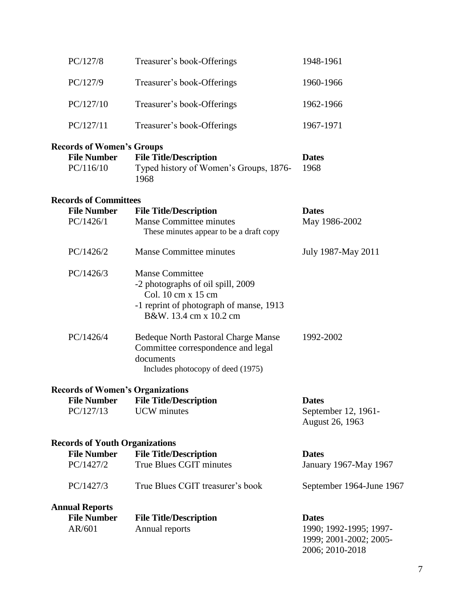| PC/127/8                                                            | Treasurer's book-Offerings                                                                                                                             | 1948-1961                                                                           |
|---------------------------------------------------------------------|--------------------------------------------------------------------------------------------------------------------------------------------------------|-------------------------------------------------------------------------------------|
| PC/127/9                                                            | Treasurer's book-Offerings                                                                                                                             | 1960-1966                                                                           |
| PC/127/10                                                           | Treasurer's book-Offerings                                                                                                                             | 1962-1966                                                                           |
| PC/127/11                                                           | Treasurer's book-Offerings                                                                                                                             | 1967-1971                                                                           |
| <b>Records of Women's Groups</b><br><b>File Number</b><br>PC/116/10 | <b>File Title/Description</b><br>Typed history of Women's Groups, 1876-<br>1968                                                                        | <b>Dates</b><br>1968                                                                |
| <b>Records of Committees</b>                                        |                                                                                                                                                        |                                                                                     |
| <b>File Number</b><br>PC/1426/1                                     | <b>File Title/Description</b><br><b>Manse Committee minutes</b><br>These minutes appear to be a draft copy                                             | <b>Dates</b><br>May 1986-2002                                                       |
| PC/1426/2                                                           | <b>Manse Committee minutes</b>                                                                                                                         | July 1987-May 2011                                                                  |
| PC/1426/3                                                           | <b>Manse Committee</b><br>-2 photographs of oil spill, 2009<br>Col. 10 cm x 15 cm<br>-1 reprint of photograph of manse, 1913<br>B&W. 13.4 cm x 10.2 cm |                                                                                     |
| PC/1426/4                                                           | <b>Bedeque North Pastoral Charge Manse</b><br>Committee correspondence and legal<br>documents<br>Includes photocopy of deed (1975)                     | 1992-2002                                                                           |
| <b>Records of Women's Organizations</b>                             |                                                                                                                                                        |                                                                                     |
| PC/127/13                                                           | <b>File Number File Title/Description</b><br><b>UCW</b> minutes                                                                                        | <b>Dates</b><br>September 12, 1961-<br>August 26, 1963                              |
| <b>Records of Youth Organizations</b>                               |                                                                                                                                                        |                                                                                     |
| <b>File Number</b>                                                  | <b>File Title/Description</b>                                                                                                                          | <b>Dates</b>                                                                        |
| PC/1427/2                                                           | True Blues CGIT minutes                                                                                                                                | January 1967-May 1967                                                               |
| PC/1427/3                                                           | True Blues CGIT treasurer's book                                                                                                                       | September 1964-June 1967                                                            |
| <b>Annual Reports</b>                                               |                                                                                                                                                        |                                                                                     |
| <b>File Number</b><br>AR/601                                        | <b>File Title/Description</b><br>Annual reports                                                                                                        | <b>Dates</b><br>1990; 1992-1995; 1997-<br>1999; 2001-2002; 2005-<br>2006; 2010-2018 |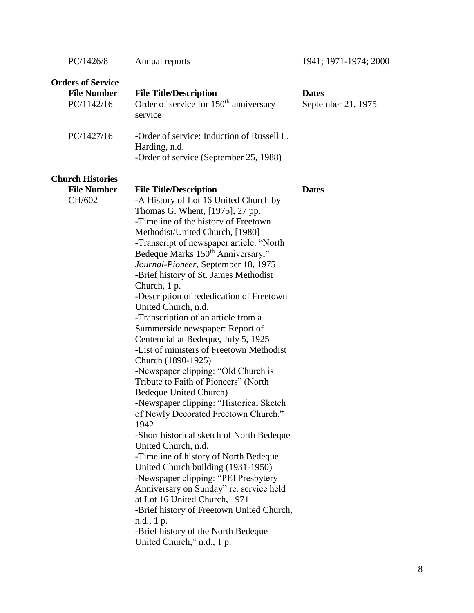| PC/1426/8                                                    | Annual reports                                                                                                                                                                                                                                                                                                                                                                                                                                                                                                                                                                                                                                                                                                                                                                                                                                                                                                                                                                                                                                                                                                                                                                                                                                     | 1941; 1971-1974; 2000              |
|--------------------------------------------------------------|----------------------------------------------------------------------------------------------------------------------------------------------------------------------------------------------------------------------------------------------------------------------------------------------------------------------------------------------------------------------------------------------------------------------------------------------------------------------------------------------------------------------------------------------------------------------------------------------------------------------------------------------------------------------------------------------------------------------------------------------------------------------------------------------------------------------------------------------------------------------------------------------------------------------------------------------------------------------------------------------------------------------------------------------------------------------------------------------------------------------------------------------------------------------------------------------------------------------------------------------------|------------------------------------|
| <b>Orders of Service</b><br><b>File Number</b><br>PC/1142/16 | <b>File Title/Description</b><br>Order of service for 150 <sup>th</sup> anniversary<br>service                                                                                                                                                                                                                                                                                                                                                                                                                                                                                                                                                                                                                                                                                                                                                                                                                                                                                                                                                                                                                                                                                                                                                     | <b>Dates</b><br>September 21, 1975 |
| PC/1427/16                                                   | -Order of service: Induction of Russell L.<br>Harding, n.d.<br>-Order of service (September 25, 1988)                                                                                                                                                                                                                                                                                                                                                                                                                                                                                                                                                                                                                                                                                                                                                                                                                                                                                                                                                                                                                                                                                                                                              |                                    |
| <b>Church Histories</b><br><b>File Number</b><br>CH/602      | <b>File Title/Description</b><br>-A History of Lot 16 United Church by<br>Thomas G. Whent, [1975], 27 pp.<br>-Timeline of the history of Freetown<br>Methodist/United Church, [1980]<br>-Transcript of newspaper article: "North<br>Bedeque Marks 150 <sup>th</sup> Anniversary,"<br>Journal-Pioneer, September 18, 1975<br>-Brief history of St. James Methodist<br>Church, 1 p.<br>-Description of rededication of Freetown<br>United Church, n.d.<br>-Transcription of an article from a<br>Summerside newspaper: Report of<br>Centennial at Bedeque, July 5, 1925<br>-List of ministers of Freetown Methodist<br>Church (1890-1925)<br>-Newspaper clipping: "Old Church is<br>Tribute to Faith of Pioneers" (North<br>Bedeque United Church)<br>-Newspaper clipping: "Historical Sketch<br>of Newly Decorated Freetown Church,"<br>1942<br>-Short historical sketch of North Bedeque<br>United Church, n.d.<br>-Timeline of history of North Bedeque<br>United Church building (1931-1950)<br>-Newspaper clipping: "PEI Presbytery<br>Anniversary on Sunday" re. service held<br>at Lot 16 United Church, 1971<br>-Brief history of Freetown United Church,<br>n.d., 1 p.<br>-Brief history of the North Bedeque<br>United Church," n.d., 1 p. | <b>Dates</b>                       |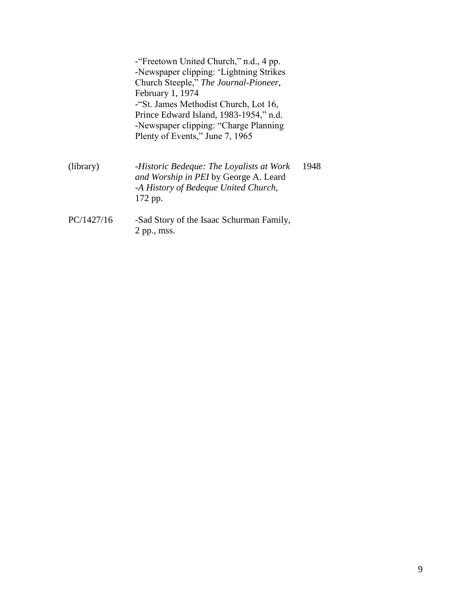<span id="page-8-0"></span>

|            | - Freetown United Church," n.d., 4 pp.<br>-Newspaper clipping: 'Lightning Strikes<br>Church Steeple," The Journal-Pioneer,<br>February 1, 1974<br>-"St. James Methodist Church, Lot 16,<br>Prince Edward Island, 1983-1954," n.d.<br>-Newspaper clipping: "Charge Planning"<br>Plenty of Events," June 7, 1965 |  |
|------------|----------------------------------------------------------------------------------------------------------------------------------------------------------------------------------------------------------------------------------------------------------------------------------------------------------------|--|
| (library)  | 1948<br>-Historic Bedeque: The Loyalists at Work<br>and Worship in PEI by George A. Leard<br>-A History of Bedeque United Church,<br>172 pp.                                                                                                                                                                   |  |
| PC/1427/16 | -Sad Story of the Isaac Schurman Family,<br>$2$ pp., mss.                                                                                                                                                                                                                                                      |  |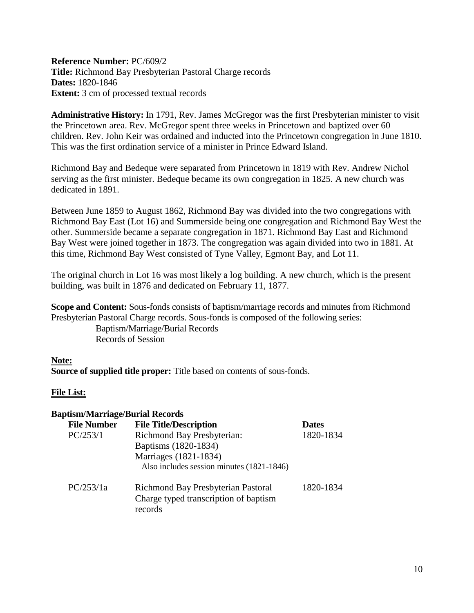**Reference Number:** PC/609/2 **Title:** Richmond Bay Presbyterian Pastoral Charge records **Dates:** 1820-1846 **Extent:** 3 cm of processed textual records

**Administrative History:** In 1791, Rev. James McGregor was the first Presbyterian minister to visit the Princetown area. Rev. McGregor spent three weeks in Princetown and baptized over 60 children. Rev. John Keir was ordained and inducted into the Princetown congregation in June 1810. This was the first ordination service of a minister in Prince Edward Island.

Richmond Bay and Bedeque were separated from Princetown in 1819 with Rev. Andrew Nichol serving as the first minister. Bedeque became its own congregation in 1825. A new church was dedicated in 1891.

Between June 1859 to August 1862, Richmond Bay was divided into the two congregations with Richmond Bay East (Lot 16) and Summerside being one congregation and Richmond Bay West the other. Summerside became a separate congregation in 1871. Richmond Bay East and Richmond Bay West were joined together in 1873. The congregation was again divided into two in 1881. At this time, Richmond Bay West consisted of Tyne Valley, Egmont Bay, and Lot 11.

The original church in Lot 16 was most likely a log building. A new church, which is the present building, was built in 1876 and dedicated on February 11, 1877.

**Scope and Content:** Sous-fonds consists of baptism/marriage records and minutes from Richmond Presbyterian Pastoral Charge records. Sous-fonds is composed of the following series: Baptism/Marriage/Burial Records

Records of Session

# **Note:**

**Source of supplied title proper:** Title based on contents of sous-fonds.

# **File List:**

# **Baptism/Marriage/Burial Records**

| <b>File Number</b> | <b>File Title/Description</b>                                                          | <b>Dates</b> |
|--------------------|----------------------------------------------------------------------------------------|--------------|
| PC/253/1           | <b>Richmond Bay Presbyterian:</b>                                                      | 1820-1834    |
|                    | Baptisms (1820-1834)                                                                   |              |
|                    | Marriages (1821-1834)                                                                  |              |
|                    | Also includes session minutes (1821-1846)                                              |              |
| PC/253/1a          | Richmond Bay Presbyterian Pastoral<br>Charge typed transcription of baptism<br>records | 1820-1834    |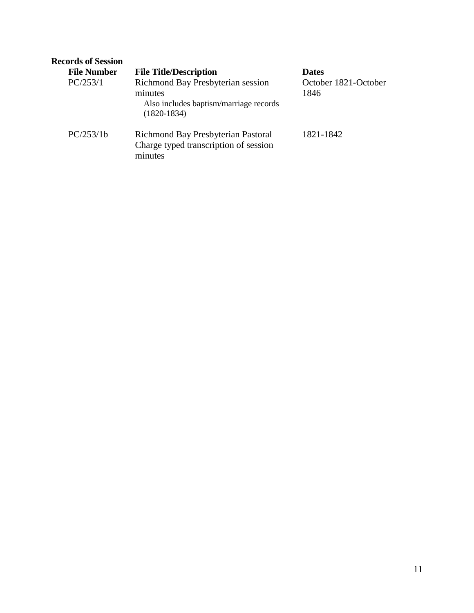| <b>Records of Session</b> |                                                                                                         |                              |
|---------------------------|---------------------------------------------------------------------------------------------------------|------------------------------|
| <b>File Number</b>        | <b>File Title/Description</b>                                                                           | <b>Dates</b>                 |
| PC/253/1                  | Richmond Bay Presbyterian session<br>minutes<br>Also includes baptism/marriage records<br>$(1820-1834)$ | October 1821-October<br>1846 |
| PC/253/1b                 | Richmond Bay Presbyterian Pastoral<br>Charge typed transcription of session<br>minutes                  | 1821-1842                    |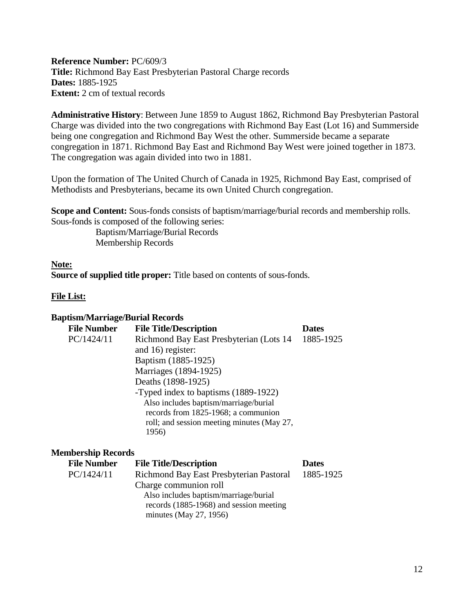<span id="page-11-0"></span>**Reference Number:** PC/609/3 **Title:** Richmond Bay East Presbyterian Pastoral Charge records **Dates:** 1885-1925 **Extent:** 2 cm of textual records

**Administrative History**: Between June 1859 to August 1862, Richmond Bay Presbyterian Pastoral Charge was divided into the two congregations with Richmond Bay East (Lot 16) and Summerside being one congregation and Richmond Bay West the other. Summerside became a separate congregation in 1871. Richmond Bay East and Richmond Bay West were joined together in 1873. The congregation was again divided into two in 1881.

Upon the formation of The United Church of Canada in 1925, Richmond Bay East, comprised of Methodists and Presbyterians, became its own United Church congregation.

**Scope and Content:** Sous-fonds consists of baptism/marriage/burial records and membership rolls. Sous-fonds is composed of the following series:

> Baptism/Marriage/Burial Records Membership Records

# **Note:**

**Source of supplied title proper:** Title based on contents of sous-fonds.

# **File List:**

#### **Baptism/Marriage/Burial Records**

| <b>File Number</b> | <b>File Title/Description</b>              | <b>Dates</b> |
|--------------------|--------------------------------------------|--------------|
| PC/1424/11         | Richmond Bay East Presbyterian (Lots 14)   | 1885-1925    |
|                    | and 16) register:                          |              |
|                    | Baptism (1885-1925)                        |              |
|                    | Marriages (1894-1925)                      |              |
|                    | Deaths (1898-1925)                         |              |
|                    | -Typed index to baptisms (1889-1922)       |              |
|                    | Also includes baptism/marriage/burial      |              |
|                    | records from 1825-1968; a communion        |              |
|                    | roll; and session meeting minutes (May 27, |              |
|                    | 1956)                                      |              |

# **Membership Records**

| <b>File Number</b> | <b>File Title/Description</b>           | <b>Dates</b> |
|--------------------|-----------------------------------------|--------------|
| PC/1424/11         | Richmond Bay East Presbyterian Pastoral | 1885-1925    |
|                    | Charge communion roll                   |              |
|                    | Also includes baptism/marriage/burial   |              |
|                    | records (1885-1968) and session meeting |              |
|                    | minutes (May $27$ , 1956)               |              |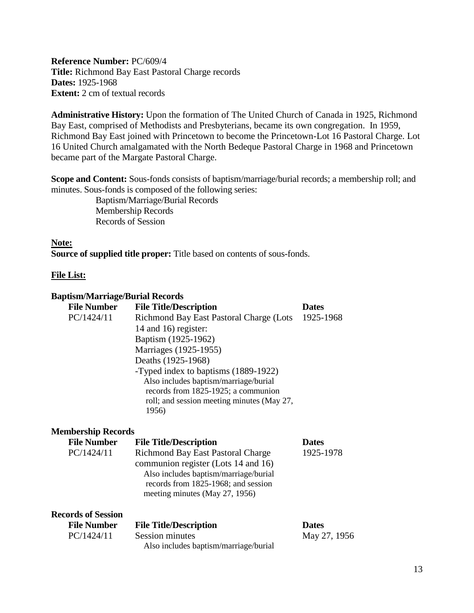<span id="page-12-0"></span>**Reference Number:** PC/609/4 **Title:** Richmond Bay East Pastoral Charge records **Dates:** 1925-1968 **Extent:** 2 cm of textual records

**Administrative History:** Upon the formation of The United Church of Canada in 1925, Richmond Bay East, comprised of Methodists and Presbyterians, became its own congregation. In 1959, Richmond Bay East joined with Princetown to become the Princetown-Lot 16 Pastoral Charge. Lot 16 United Church amalgamated with the North Bedeque Pastoral Charge in 1968 and Princetown became part of the Margate Pastoral Charge.

**Scope and Content:** Sous-fonds consists of baptism/marriage/burial records; a membership roll; and minutes. Sous-fonds is composed of the following series:

> Baptism/Marriage/Burial Records Membership Records Records of Session

# **Note:**

**Source of supplied title proper:** Title based on contents of sous-fonds.

# **File List:**

| <b>Baptism/Marriage/Burial Records</b> |                                                                                                                                                                                                   |              |
|----------------------------------------|---------------------------------------------------------------------------------------------------------------------------------------------------------------------------------------------------|--------------|
| <b>File Number</b>                     | <b>File Title/Description</b>                                                                                                                                                                     | <b>Dates</b> |
| PC/1424/11                             | Richmond Bay East Pastoral Charge (Lots<br>14 and 16) register:                                                                                                                                   | 1925-1968    |
|                                        | Baptism (1925-1962)                                                                                                                                                                               |              |
|                                        | Marriages (1925-1955)                                                                                                                                                                             |              |
|                                        | Deaths (1925-1968)                                                                                                                                                                                |              |
|                                        | -Typed index to baptisms (1889-1922)<br>Also includes baptism/marriage/burial<br>records from 1825-1925; a communion<br>roll; and session meeting minutes (May 27,<br>1956)                       |              |
| <b>Membership Records</b>              |                                                                                                                                                                                                   |              |
| <b>File Number</b>                     | <b>File Title/Description</b>                                                                                                                                                                     | <b>Dates</b> |
| PC/1424/11                             | <b>Richmond Bay East Pastoral Charge</b><br>communion register (Lots 14 and 16)<br>Also includes baptism/marriage/burial<br>records from 1825-1968; and session<br>meeting minutes (May 27, 1956) | 1925-1978    |
| <b>Records of Session</b>              |                                                                                                                                                                                                   |              |
| <b>File Number</b>                     | <b>File Title/Description</b>                                                                                                                                                                     | <b>Dates</b> |
| PC/1424/11                             | <b>Session minutes</b><br>Also includes baptism/marriage/burial                                                                                                                                   | May 27, 1956 |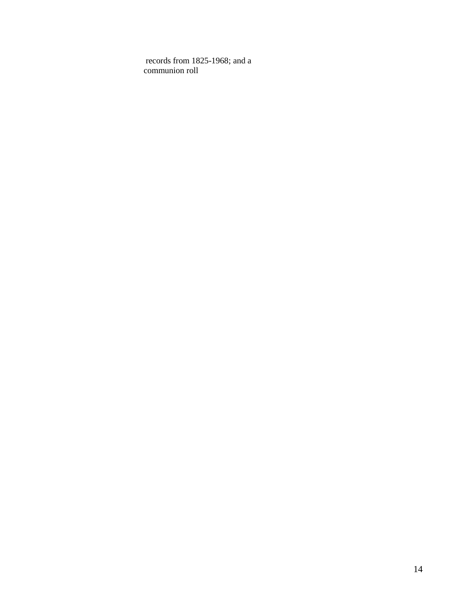records from 1825-1968; and a communion roll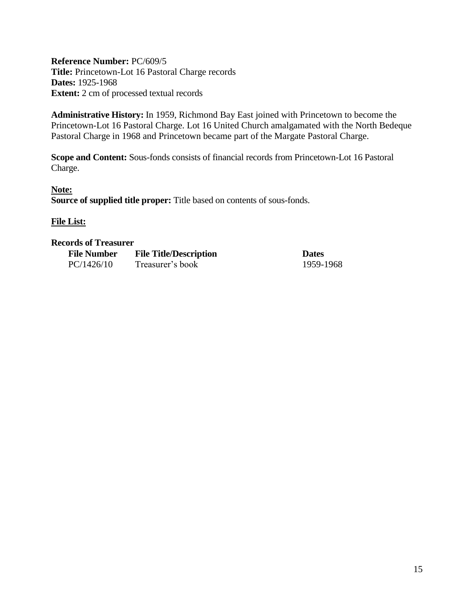<span id="page-14-0"></span>**Reference Number:** PC/609/5 **Title:** Princetown-Lot 16 Pastoral Charge records **Dates:** 1925-1968 **Extent:** 2 cm of processed textual records

**Administrative History:** In 1959, Richmond Bay East joined with Princetown to become the Princetown-Lot 16 Pastoral Charge. Lot 16 United Church amalgamated with the North Bedeque Pastoral Charge in 1968 and Princetown became part of the Margate Pastoral Charge.

**Scope and Content:** Sous-fonds consists of financial records from Princetown-Lot 16 Pastoral Charge.

**Note: Source of supplied title proper:** Title based on contents of sous-fonds.

# **File List:**

#### **Records of Treasurer**

| <b>File Number</b> | <b>File Title/Description</b> | <b>Dates</b> |
|--------------------|-------------------------------|--------------|
| PC/1426/10         | Treasurer's book              | 1959-        |

1959-1968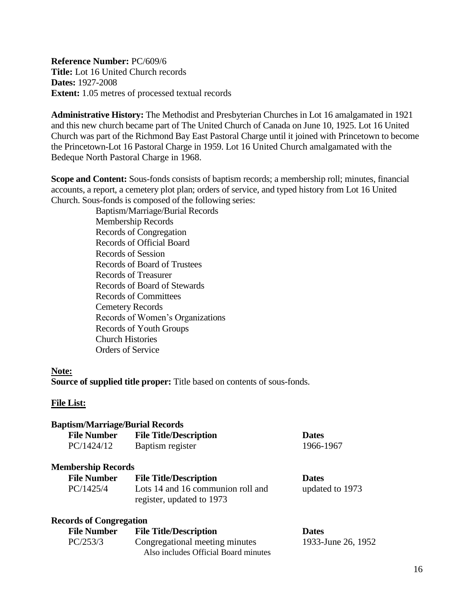<span id="page-15-0"></span>**Reference Number:** PC/609/6 **Title:** Lot 16 United Church records **Dates:** 1927-2008 **Extent:** 1.05 metres of processed textual records

**Administrative History:** The Methodist and Presbyterian Churches in Lot 16 amalgamated in 1921 and this new church became part of The United Church of Canada on June 10, 1925. Lot 16 United Church was part of the Richmond Bay East Pastoral Charge until it joined with Princetown to become the Princetown-Lot 16 Pastoral Charge in 1959. Lot 16 United Church amalgamated with the Bedeque North Pastoral Charge in 1968.

**Scope and Content:** Sous-fonds consists of baptism records; a membership roll; minutes, financial accounts, a report, a cemetery plot plan; orders of service, and typed history from Lot 16 United Church. Sous-fonds is composed of the following series:

Baptism/Marriage/Burial Records Membership Records Records of Congregation Records of Official Board Records of Session Records of Board of Trustees Records of Treasurer Records of Board of Stewards Records of Committees Cemetery Records Records of Women's Organizations Records of Youth Groups Church Histories Orders of Service

#### **Note:**

**Source of supplied title proper:** Title based on contents of sous-fonds.

# **File List:**

| <b>Baptism/Marriage/Burial Records</b> |                                                                        |                    |
|----------------------------------------|------------------------------------------------------------------------|--------------------|
| <b>File Number</b>                     | <b>File Title/Description</b>                                          | <b>Dates</b>       |
| PC/1424/12                             | Baptism register                                                       | 1966-1967          |
| <b>Membership Records</b>              |                                                                        |                    |
| <b>File Number</b>                     | <b>File Title/Description</b>                                          | <b>Dates</b>       |
| PC/1425/4                              | Lots 14 and 16 communion roll and<br>register, updated to 1973         | updated to 1973    |
| <b>Records of Congregation</b>         |                                                                        |                    |
| <b>File Number</b>                     | <b>File Title/Description</b>                                          | <b>Dates</b>       |
| PC/253/3                               | Congregational meeting minutes<br>Also includes Official Board minutes | 1933-June 26, 1952 |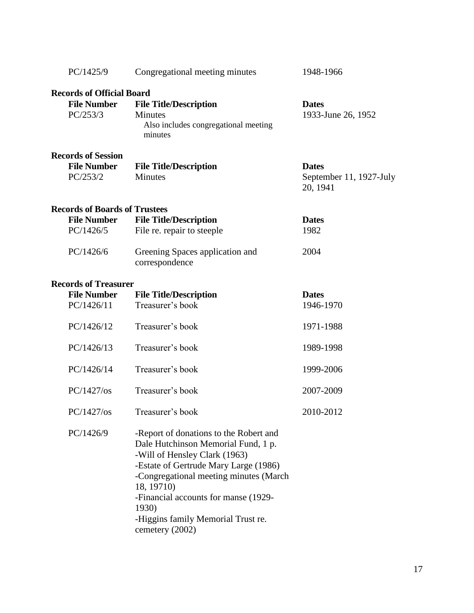| PC/1425/9                                                               | Congregational meeting minutes                                                                                                                                                                                                                                                                                            | 1948-1966                                           |
|-------------------------------------------------------------------------|---------------------------------------------------------------------------------------------------------------------------------------------------------------------------------------------------------------------------------------------------------------------------------------------------------------------------|-----------------------------------------------------|
| <b>Records of Official Board</b><br><b>File Number</b><br>PC/253/3      | <b>File Title/Description</b><br><b>Minutes</b><br>Also includes congregational meeting<br>minutes                                                                                                                                                                                                                        | <b>Dates</b><br>1933-June 26, 1952                  |
| <b>Records of Session</b><br><b>File Number</b><br>PC/253/2             | <b>File Title/Description</b><br><b>Minutes</b>                                                                                                                                                                                                                                                                           | <b>Dates</b><br>September 11, 1927-July<br>20, 1941 |
| <b>Records of Boards of Trustees</b><br><b>File Number</b><br>PC/1426/5 | <b>File Title/Description</b><br>File re. repair to steeple                                                                                                                                                                                                                                                               | <b>Dates</b><br>1982                                |
| PC/1426/6                                                               | Greening Spaces application and<br>correspondence                                                                                                                                                                                                                                                                         | 2004                                                |
| <b>Records of Treasurer</b><br><b>File Number</b><br>PC/1426/11         | <b>File Title/Description</b><br>Treasurer's book                                                                                                                                                                                                                                                                         | <b>Dates</b><br>1946-1970                           |
| PC/1426/12                                                              | Treasurer's book                                                                                                                                                                                                                                                                                                          | 1971-1988                                           |
| PC/1426/13                                                              | Treasurer's book                                                                                                                                                                                                                                                                                                          | 1989-1998                                           |
| PC/1426/14                                                              | Treasurer's book                                                                                                                                                                                                                                                                                                          | 1999-2006                                           |
| $PC/1427/\text{os}$                                                     | Treasurer's book                                                                                                                                                                                                                                                                                                          | 2007-2009                                           |
| $PC/1427/\text{os}$                                                     | Treasurer's book                                                                                                                                                                                                                                                                                                          | 2010-2012                                           |
| PC/1426/9                                                               | -Report of donations to the Robert and<br>Dale Hutchinson Memorial Fund, 1 p.<br>-Will of Hensley Clark (1963)<br>-Estate of Gertrude Mary Large (1986)<br>-Congregational meeting minutes (March<br>18, 19710)<br>-Financial accounts for manse (1929-<br>1930)<br>-Higgins family Memorial Trust re.<br>cemetery (2002) |                                                     |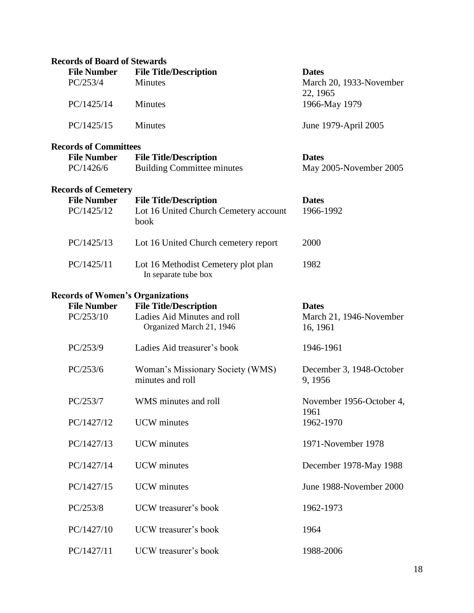| <b>Records of Board of Stewards</b>     |                                                             |                                     |
|-----------------------------------------|-------------------------------------------------------------|-------------------------------------|
| <b>File Number</b>                      | <b>File Title/Description</b>                               | <b>Dates</b>                        |
| PC/253/4                                | <b>Minutes</b>                                              | March 20, 1933-November<br>22, 1965 |
| PC/1425/14                              | Minutes                                                     | 1966-May 1979                       |
| PC/1425/15                              | <b>Minutes</b>                                              | June 1979-April 2005                |
| <b>Records of Committees</b>            |                                                             |                                     |
| <b>File Number</b>                      | <b>File Title/Description</b>                               | <b>Dates</b>                        |
| PC/1426/6                               | <b>Building Committee minutes</b>                           | May 2005-November 2005              |
| <b>Records of Cemetery</b>              |                                                             |                                     |
| <b>File Number</b>                      | <b>File Title/Description</b>                               | <b>Dates</b>                        |
| PC/1425/12                              | Lot 16 United Church Cemetery account<br>book               | 1966-1992                           |
| PC/1425/13                              | Lot 16 United Church cemetery report                        | 2000                                |
| PC/1425/11                              | Lot 16 Methodist Cemetery plot plan<br>In separate tube box | 1982                                |
| <b>Records of Women's Organizations</b> |                                                             |                                     |
| <b>File Number</b>                      | <b>File Title/Description</b>                               | <b>Dates</b>                        |
| PC/253/10                               | Ladies Aid Minutes and roll<br>Organized March 21, 1946     | March 21, 1946-November<br>16, 1961 |
| PC/253/9                                | Ladies Aid treasurer's book                                 | 1946-1961                           |
| PC/253/6                                | Woman's Missionary Society (WMS)<br>minutes and roll        | December 3, 1948-October<br>9, 1956 |
| PC/253/7                                | WMS minutes and roll                                        | November 1956-October 4,<br>1961    |
| PC/1427/12                              | <b>UCW</b> minutes                                          | 1962-1970                           |
| PC/1427/13                              | <b>UCW</b> minutes                                          | 1971-November 1978                  |
| PC/1427/14                              | <b>UCW</b> minutes                                          | December 1978-May 1988              |
| PC/1427/15                              | <b>UCW</b> minutes                                          | June 1988-November 2000             |
| PC/253/8                                | UCW treasurer's book                                        | 1962-1973                           |
| PC/1427/10                              | UCW treasurer's book                                        | 1964                                |
| PC/1427/11                              | UCW treasurer's book                                        | 1988-2006                           |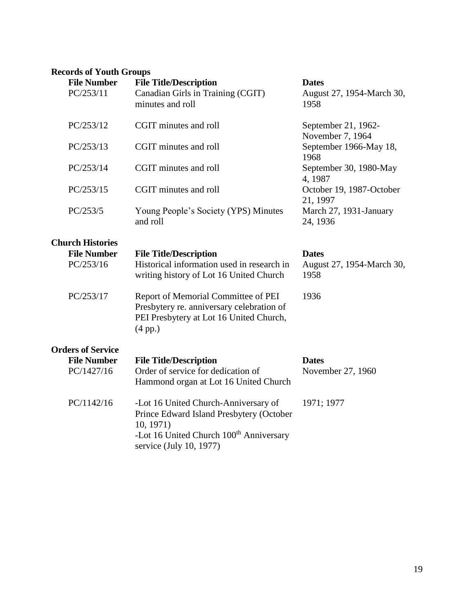# **Records of Youth Groups**

| records of Touth Groups<br><b>File Number</b><br>PC/253/11 | <b>File Title/Description</b><br>Canadian Girls in Training (CGIT)<br>minutes and roll                                                                                          | <b>Dates</b><br>August 27, 1954-March 30,<br>1958 |
|------------------------------------------------------------|---------------------------------------------------------------------------------------------------------------------------------------------------------------------------------|---------------------------------------------------|
| PC/253/12                                                  | CGIT minutes and roll                                                                                                                                                           | September 21, 1962-<br>November 7, 1964           |
| PC/253/13                                                  | CGIT minutes and roll                                                                                                                                                           | September 1966-May 18,<br>1968                    |
| PC/253/14                                                  | CGIT minutes and roll                                                                                                                                                           | September 30, 1980-May<br>4,1987                  |
| PC/253/15                                                  | CGIT minutes and roll                                                                                                                                                           | October 19, 1987-October<br>21, 1997              |
| PC/253/5                                                   | Young People's Society (YPS) Minutes<br>and roll                                                                                                                                | March 27, 1931-January<br>24, 1936                |
| <b>Church Histories</b>                                    |                                                                                                                                                                                 |                                                   |
| <b>File Number</b><br>PC/253/16                            | <b>File Title/Description</b><br>Historical information used in research in<br>writing history of Lot 16 United Church                                                          | <b>Dates</b><br>August 27, 1954-March 30,<br>1958 |
| PC/253/17                                                  | Report of Memorial Committee of PEI<br>Presbytery re. anniversary celebration of<br>PEI Presbytery at Lot 16 United Church,<br>$(4 \text{ pp.})$                                | 1936                                              |
| <b>Orders of Service</b>                                   |                                                                                                                                                                                 |                                                   |
| <b>File Number</b>                                         | <b>File Title/Description</b>                                                                                                                                                   | <b>Dates</b>                                      |
| PC/1427/16                                                 | Order of service for dedication of<br>Hammond organ at Lot 16 United Church                                                                                                     | November 27, 1960                                 |
| PC/1142/16                                                 | -Lot 16 United Church-Anniversary of<br>Prince Edward Island Presbytery (October<br>10, 1971)<br>-Lot 16 United Church 100 <sup>th</sup> Anniversary<br>service (July 10, 1977) | 1971; 1977                                        |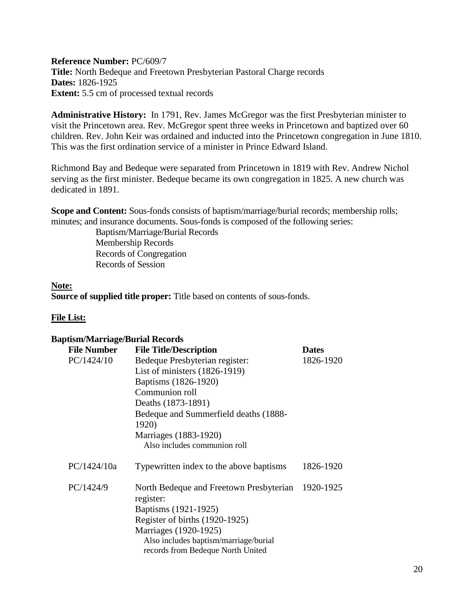<span id="page-19-0"></span>**Reference Number:** PC/609/7 **Title:** North Bedeque and Freetown Presbyterian Pastoral Charge records **Dates:** 1826-1925 **Extent:** 5.5 cm of processed textual records

**Administrative History:** In 1791, Rev. James McGregor was the first Presbyterian minister to visit the Princetown area. Rev. McGregor spent three weeks in Princetown and baptized over 60 children. Rev. John Keir was ordained and inducted into the Princetown congregation in June 1810. This was the first ordination service of a minister in Prince Edward Island.

Richmond Bay and Bedeque were separated from Princetown in 1819 with Rev. Andrew Nichol serving as the first minister. Bedeque became its own congregation in 1825. A new church was dedicated in 1891.

**Scope and Content:** Sous-fonds consists of baptism/marriage/burial records; membership rolls; minutes; and insurance documents. Sous-fonds is composed of the following series:

> Baptism/Marriage/Burial Records Membership Records Records of Congregation Records of Session

# **Note:**

**Source of supplied title proper:** Title based on contents of sous-fonds.

# **File List:**

#### **Baptism/Marriage/Burial Records**

| <b>File Number</b> | <b>File Title/Description</b>                        | <b>Dates</b> |
|--------------------|------------------------------------------------------|--------------|
| PC/1424/10         | Bedeque Presbyterian register:                       | 1826-1920    |
|                    | List of ministers (1826-1919)                        |              |
|                    | Baptisms (1826-1920)                                 |              |
|                    | Communion roll                                       |              |
|                    | Deaths (1873-1891)                                   |              |
|                    | Bedeque and Summerfield deaths (1888-                |              |
|                    | 1920)                                                |              |
|                    | Marriages (1883-1920)                                |              |
|                    | Also includes communion roll                         |              |
| PC/1424/10a        | Typewritten index to the above baptisms              | 1826-1920    |
| PC/1424/9          | North Bedeque and Freetown Presbyterian<br>register: | 1920-1925    |
|                    | Baptisms (1921-1925)                                 |              |
|                    | Register of births (1920-1925)                       |              |
|                    | Marriages (1920-1925)                                |              |
|                    | Also includes baptism/marriage/burial                |              |
|                    | records from Bedeque North United                    |              |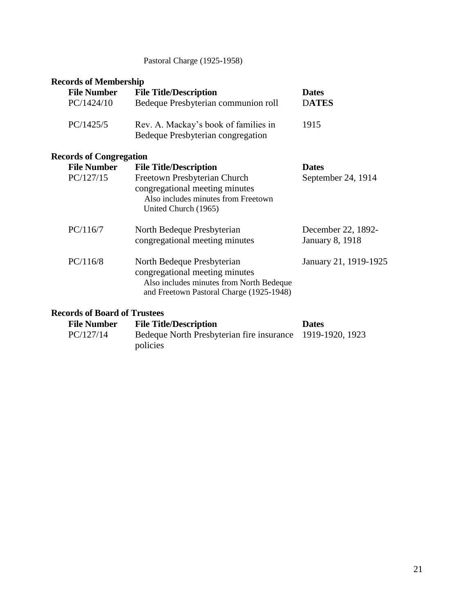# Pastoral Charge (1925-1958)

# **Records of Membership**

| <b>File Number</b>                  | <b>File Title/Description</b>                                                                                                                        | <b>Dates</b>                                 |
|-------------------------------------|------------------------------------------------------------------------------------------------------------------------------------------------------|----------------------------------------------|
| PC/1424/10                          | Bedeque Presbyterian communion roll                                                                                                                  | <b>DATES</b>                                 |
| PC/1425/5                           | Rev. A. Mackay's book of families in<br>Bedeque Presbyterian congregation                                                                            | 1915                                         |
| <b>Records of Congregation</b>      |                                                                                                                                                      |                                              |
| <b>File Number</b>                  | <b>File Title/Description</b>                                                                                                                        | <b>Dates</b>                                 |
| PC/127/15                           | Freetown Presbyterian Church<br>congregational meeting minutes<br>Also includes minutes from Freetown<br>United Church (1965)                        | September 24, 1914                           |
| PC/116/7                            | North Bedeque Presbyterian<br>congregational meeting minutes                                                                                         | December 22, 1892-<br><b>January 8, 1918</b> |
| PC/116/8                            | North Bedeque Presbyterian<br>congregational meeting minutes<br>Also includes minutes from North Bedeque<br>and Freetown Pastoral Charge (1925-1948) | January 21, 1919-1925                        |
| <b>Records of Board of Trustees</b> |                                                                                                                                                      |                                              |

| <b>File Number</b> | <b>File Title/Description</b>                             | <b>Dates</b> |
|--------------------|-----------------------------------------------------------|--------------|
| PC/127/14          | Bedeque North Presbyterian fire insurance 1919-1920, 1923 |              |
|                    | policies                                                  |              |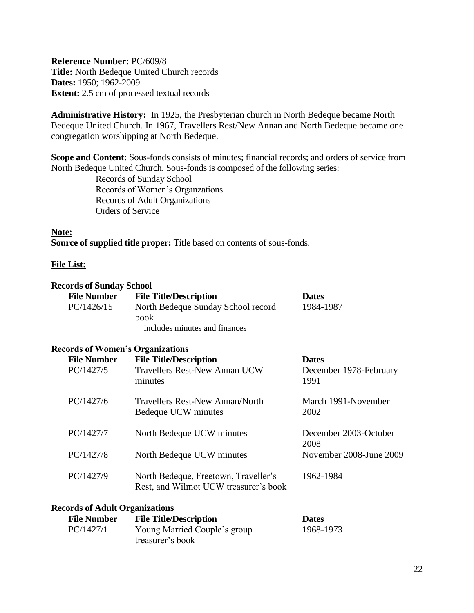<span id="page-21-0"></span>**Reference Number:** PC/609/8 **Title:** North Bedeque United Church records **Dates:** 1950; 1962-2009 **Extent:** 2.5 cm of processed textual records

**Administrative History:** In 1925, the Presbyterian church in North Bedeque became North Bedeque United Church. In 1967, Travellers Rest/New Annan and North Bedeque became one congregation worshipping at North Bedeque.

**Scope and Content:** Sous-fonds consists of minutes; financial records; and orders of service from North Bedeque United Church. Sous-fonds is composed of the following series:

> Records of Sunday School Records of Women's Organzations Records of Adult Organizations Orders of Service

#### **Note:**

**Source of supplied title proper:** Title based on contents of sous-fonds.

#### **File List:**

#### **Records of Sunday School**

| <b>File Number</b> | <b>File Title/Description</b>      | <b>Dates</b> |
|--------------------|------------------------------------|--------------|
| PC/1426/15         | North Bedeque Sunday School record | 1984-1987    |
|                    | <b>book</b>                        |              |
|                    | Includes minutes and finances      |              |
|                    |                                    |              |

#### **Records of Women's Organizations**

| <b>File Number</b><br>PC/1427/5 | <b>File Title/Description</b><br>Travellers Rest-New Annan UCW<br>minutes     | <b>Dates</b><br>December 1978-February<br>1991 |
|---------------------------------|-------------------------------------------------------------------------------|------------------------------------------------|
| PC/1427/6                       | Travellers Rest-New Annan/North<br>Bedeque UCW minutes                        | March 1991-November<br>2002                    |
| PC/1427/7                       | North Bedeque UCW minutes                                                     | December 2003-October<br>2008                  |
| PC/1427/8                       | North Bedeque UCW minutes                                                     | November 2008-June 2009                        |
| PC/1427/9                       | North Bedeque, Freetown, Traveller's<br>Rest, and Wilmot UCW treasurer's book | 1962-1984                                      |

#### **Records of Adult Organizations**

| <b>File Number</b> | <b>File Title/Description</b> | <b>Dates</b> |
|--------------------|-------------------------------|--------------|
| PC/1427/1          | Young Married Couple's group  | 1968-1973    |
|                    | treasurer's book              |              |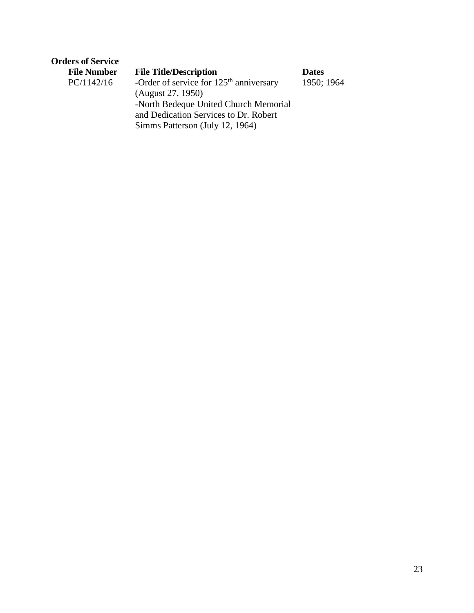| <b>Orders of Service</b> |                                           |              |
|--------------------------|-------------------------------------------|--------------|
| <b>File Number</b>       | <b>File Title/Description</b>             | <b>Dates</b> |
| PC/1142/16               | -Order of service for $125th$ anniversary | 1950; 1964   |
|                          | (August 27, 1950)                         |              |
|                          | -North Bedeque United Church Memorial     |              |
|                          | and Dedication Services to Dr. Robert     |              |

Simms Patterson (July 12, 1964)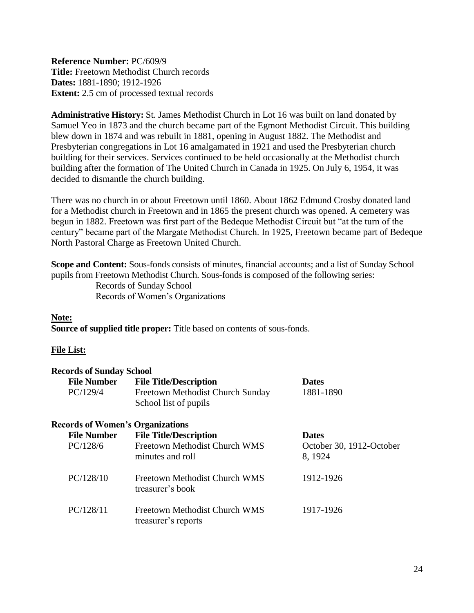<span id="page-23-0"></span>**Reference Number:** PC/609/9 **Title:** Freetown Methodist Church records **Dates:** 1881-1890; 1912-1926 **Extent:** 2.5 cm of processed textual records

**Administrative History:** St. James Methodist Church in Lot 16 was built on land donated by Samuel Yeo in 1873 and the church became part of the Egmont Methodist Circuit. This building blew down in 1874 and was rebuilt in 1881, opening in August 1882. The Methodist and Presbyterian congregations in Lot 16 amalgamated in 1921 and used the Presbyterian church building for their services. Services continued to be held occasionally at the Methodist church building after the formation of The United Church in Canada in 1925. On July 6, 1954, it was decided to dismantle the church building.

There was no church in or about Freetown until 1860. About 1862 Edmund Crosby donated land for a Methodist church in Freetown and in 1865 the present church was opened. A cemetery was begun in 1882. Freetown was first part of the Bedeque Methodist Circuit but "at the turn of the century" became part of the Margate Methodist Church. In 1925, Freetown became part of Bedeque North Pastoral Charge as Freetown United Church.

**Scope and Content:** Sous-fonds consists of minutes, financial accounts; and a list of Sunday School pupils from Freetown Methodist Church. Sous-fonds is composed of the following series: Records of Sunday School Records of Women's Organizations

# **Note:**

**Source of supplied title proper:** Title based on contents of sous-fonds.

# **File List:**

| <b>Records of Sunday School</b>         |                                  |                          |
|-----------------------------------------|----------------------------------|--------------------------|
| <b>File Number</b>                      | <b>File Title/Description</b>    | <b>Dates</b>             |
| PC/129/4                                | Freetown Methodist Church Sunday | 1881-1890                |
|                                         | School list of pupils            |                          |
| <b>Records of Women's Organizations</b> |                                  |                          |
| <b>File Number</b>                      | <b>File Title/Description</b>    | <b>Dates</b>             |
| PC/128/6                                | Freetown Methodist Church WMS    | October 30, 1912-October |
|                                         | minutes and roll                 | 8, 1924                  |
| PC/128/10                               | Freetown Methodist Church WMS    | 1912-1926                |
|                                         | treasurer's book                 |                          |
| PC/128/11                               | Freetown Methodist Church WMS    | 1917-1926                |
|                                         | treasurer's reports              |                          |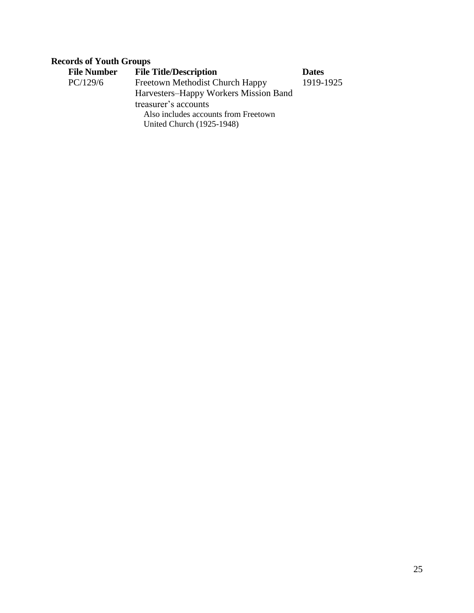# **Records of Youth Groups**

| <b>File Number</b> | <b>File Title/Description</b>         | <b>Dates</b> |
|--------------------|---------------------------------------|--------------|
| PC/129/6           | Freetown Methodist Church Happy       | 1919-1925    |
|                    | Harvesters-Happy Workers Mission Band |              |
|                    | treasurer's accounts                  |              |
|                    | Also includes accounts from Freetown  |              |
|                    | United Church (1925-1948)             |              |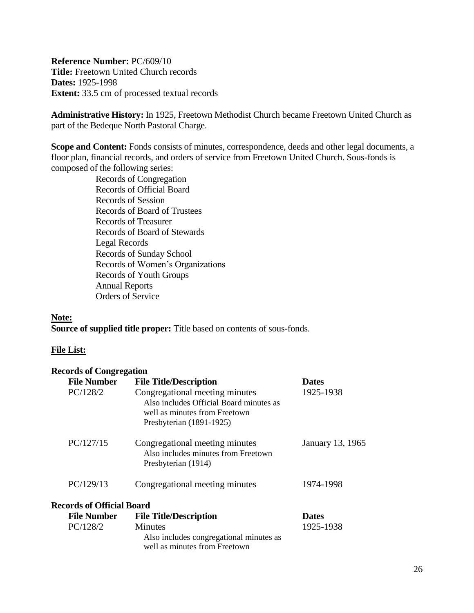<span id="page-25-0"></span>**Reference Number:** PC/609/10 **Title:** Freetown United Church records **Dates:** 1925-1998 **Extent:** 33.5 cm of processed textual records

**Administrative History:** In 1925, Freetown Methodist Church became Freetown United Church as part of the Bedeque North Pastoral Charge.

**Scope and Content:** Fonds consists of minutes, correspondence, deeds and other legal documents, a floor plan, financial records, and orders of service from Freetown United Church. Sous-fonds is composed of the following series:

Records of Congregation Records of Official Board Records of Session Records of Board of Trustees Records of Treasurer Records of Board of Stewards Legal Records Records of Sunday School Records of Women's Organizations Records of Youth Groups Annual Reports Orders of Service

#### **Note:**

**Source of supplied title proper:** Title based on contents of sous-fonds.

# **File List:**

| <b>Records of Congregation</b>   |                                                                                                                                        |                  |
|----------------------------------|----------------------------------------------------------------------------------------------------------------------------------------|------------------|
| <b>File Number</b>               | <b>File Title/Description</b>                                                                                                          | <b>Dates</b>     |
| PC/128/2                         | Congregational meeting minutes<br>Also includes Official Board minutes as<br>well as minutes from Freetown<br>Presbyterian (1891-1925) | 1925-1938        |
| PC/127/15                        | Congregational meeting minutes<br>Also includes minutes from Freetown<br>Presbyterian (1914)                                           | January 13, 1965 |
| PC/129/13                        | Congregational meeting minutes                                                                                                         | 1974-1998        |
| <b>Records of Official Board</b> |                                                                                                                                        |                  |
| <b>File Number</b>               | <b>File Title/Description</b>                                                                                                          | <b>Dates</b>     |
| PC/128/2                         | <b>Minutes</b><br>Also includes congregational minutes as<br>well as minutes from Freetown                                             | 1925-1938        |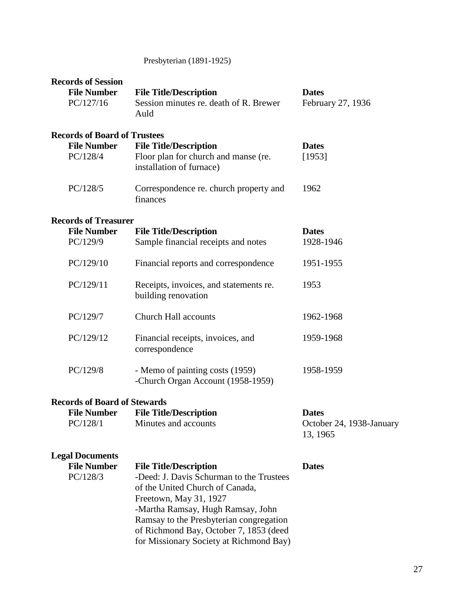# Presbyterian (1891-1925)

| <b>Records of Session</b><br><b>File Number</b> | <b>File Title/Description</b>                                               | <b>Dates</b>                         |
|-------------------------------------------------|-----------------------------------------------------------------------------|--------------------------------------|
| PC/127/16                                       | Session minutes re. death of R. Brewer<br>Auld                              | February 27, 1936                    |
| <b>Records of Board of Trustees</b>             |                                                                             |                                      |
| <b>File Number</b>                              | <b>File Title/Description</b>                                               | <b>Dates</b>                         |
| PC/128/4                                        | Floor plan for church and manse (re.<br>installation of furnace)            | [1953]                               |
| PC/128/5                                        | Correspondence re. church property and<br>finances                          | 1962                                 |
| <b>Records of Treasurer</b>                     |                                                                             |                                      |
| <b>File Number</b><br>PC/129/9                  | <b>File Title/Description</b><br>Sample financial receipts and notes        | <b>Dates</b><br>1928-1946            |
| PC/129/10                                       | Financial reports and correspondence                                        | 1951-1955                            |
| PC/129/11                                       | Receipts, invoices, and statements re.<br>building renovation               | 1953                                 |
| PC/129/7                                        | <b>Church Hall accounts</b>                                                 | 1962-1968                            |
| PC/129/12                                       | Financial receipts, invoices, and<br>correspondence                         | 1959-1968                            |
| PC/129/8                                        | - Memo of painting costs (1959)<br>-Church Organ Account (1958-1959)        | 1958-1959                            |
| <b>Records of Board of Stewards</b>             |                                                                             |                                      |
| <b>File Number</b>                              | <b>File Title/Description</b>                                               | <b>Dates</b>                         |
| PC/128/1                                        | Minutes and accounts                                                        | October 24, 1938-January<br>13, 1965 |
| <b>Legal Documents</b>                          |                                                                             |                                      |
| <b>File Number</b>                              | <b>File Title/Description</b>                                               | <b>Dates</b>                         |
| PC/128/3                                        | -Deed: J. Davis Schurman to the Trustees<br>of the United Church of Canada, |                                      |
|                                                 | Freetown, May 31, 1927                                                      |                                      |
|                                                 | -Martha Ramsay, Hugh Ramsay, John                                           |                                      |
|                                                 | Ramsay to the Presbyterian congregation                                     |                                      |
|                                                 | of Richmond Bay, October 7, 1853 (deed                                      |                                      |
|                                                 | for Missionary Society at Richmond Bay)                                     |                                      |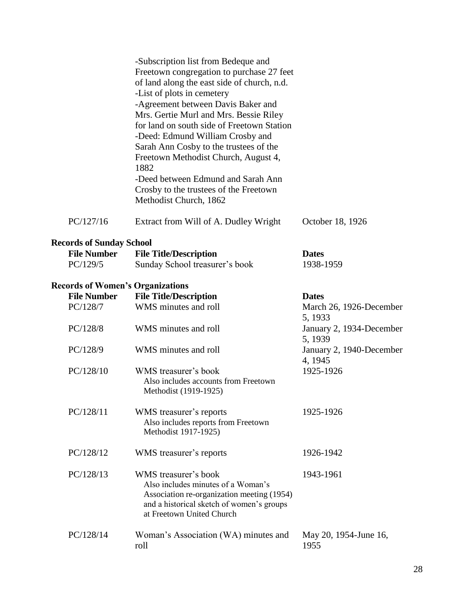|                                 | -Subscription list from Bedeque and<br>Freetown congregation to purchase 27 feet                                                                                                   |                                     |  |  |  |
|---------------------------------|------------------------------------------------------------------------------------------------------------------------------------------------------------------------------------|-------------------------------------|--|--|--|
|                                 | of land along the east side of church, n.d.                                                                                                                                        |                                     |  |  |  |
|                                 | -List of plots in cemetery                                                                                                                                                         |                                     |  |  |  |
|                                 | -Agreement between Davis Baker and                                                                                                                                                 |                                     |  |  |  |
|                                 | Mrs. Gertie Murl and Mrs. Bessie Riley                                                                                                                                             |                                     |  |  |  |
|                                 | for land on south side of Freetown Station                                                                                                                                         |                                     |  |  |  |
|                                 | -Deed: Edmund William Crosby and                                                                                                                                                   |                                     |  |  |  |
|                                 | Sarah Ann Cosby to the trustees of the                                                                                                                                             |                                     |  |  |  |
|                                 | Freetown Methodist Church, August 4,<br>1882                                                                                                                                       |                                     |  |  |  |
|                                 | -Deed between Edmund and Sarah Ann                                                                                                                                                 |                                     |  |  |  |
|                                 | Crosby to the trustees of the Freetown                                                                                                                                             |                                     |  |  |  |
|                                 | Methodist Church, 1862                                                                                                                                                             |                                     |  |  |  |
| PC/127/16                       | Extract from Will of A. Dudley Wright                                                                                                                                              | October 18, 1926                    |  |  |  |
| <b>Records of Sunday School</b> |                                                                                                                                                                                    |                                     |  |  |  |
| <b>File Number</b>              | <b>File Title/Description</b>                                                                                                                                                      | <b>Dates</b>                        |  |  |  |
| PC/129/5                        | Sunday School treasurer's book                                                                                                                                                     | 1938-1959                           |  |  |  |
|                                 | <b>Records of Women's Organizations</b>                                                                                                                                            |                                     |  |  |  |
| <b>File Number</b>              | <b>File Title/Description</b>                                                                                                                                                      | <b>Dates</b>                        |  |  |  |
| PC/128/7                        | WMS minutes and roll                                                                                                                                                               | March 26, 1926-December<br>5, 1933  |  |  |  |
| PC/128/8                        | WMS minutes and roll                                                                                                                                                               | January 2, 1934-December<br>5, 1939 |  |  |  |
| PC/128/9                        | WMS minutes and roll                                                                                                                                                               | January 2, 1940-December<br>4, 1945 |  |  |  |
| PC/128/10                       | WMS treasurer's book                                                                                                                                                               | 1925-1926                           |  |  |  |
|                                 | Also includes accounts from Freetown<br>Methodist (1919-1925)                                                                                                                      |                                     |  |  |  |
| PC/128/11                       | WMS treasurer's reports                                                                                                                                                            | 1925-1926                           |  |  |  |
|                                 | Also includes reports from Freetown                                                                                                                                                |                                     |  |  |  |
|                                 | Methodist 1917-1925)                                                                                                                                                               |                                     |  |  |  |
| PC/128/12                       | WMS treasurer's reports                                                                                                                                                            | 1926-1942                           |  |  |  |
| PC/128/13                       | WMS treasurer's book<br>Also includes minutes of a Woman's<br>Association re-organization meeting (1954)<br>and a historical sketch of women's groups<br>at Freetown United Church | 1943-1961                           |  |  |  |
| PC/128/14                       | Woman's Association (WA) minutes and<br>roll                                                                                                                                       | May 20, 1954-June 16,<br>1955       |  |  |  |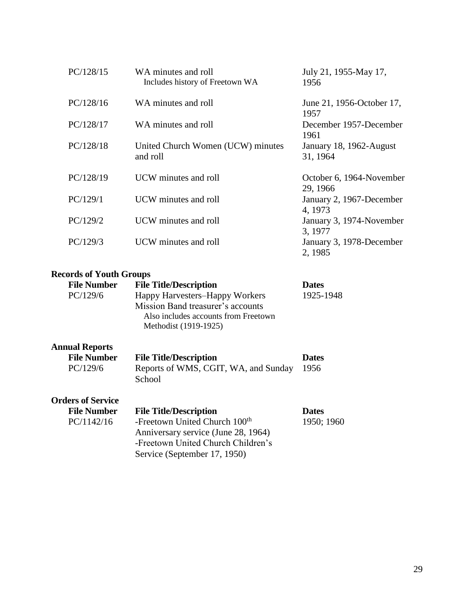| PC/128/15 | WA minutes and roll<br>Includes history of Freetown WA | July 21, 1955-May 17,<br>1956        |
|-----------|--------------------------------------------------------|--------------------------------------|
| PC/128/16 | WA minutes and roll                                    | June 21, 1956-October 17,<br>1957    |
| PC/128/17 | WA minutes and roll                                    | December 1957-December<br>1961       |
| PC/128/18 | United Church Women (UCW) minutes<br>and roll          | January 18, 1962-August<br>31, 1964  |
| PC/128/19 | UCW minutes and roll                                   | October 6, 1964-November<br>29, 1966 |
| PC/129/1  | UCW minutes and roll                                   | January 2, 1967-December<br>4, 1973  |
| PC/129/2  | UCW minutes and roll                                   | January 3, 1974-November<br>3, 1977  |
| PC/129/3  | UCW minutes and roll                                   | January 3, 1978-December<br>2, 1985  |

# **Records of Youth Groups**

| <b>File Number</b> | <b>File Title/Description</b>        | <b>Dates</b> |
|--------------------|--------------------------------------|--------------|
| PC/129/6           | Happy Harvesters-Happy Workers       | 1925-1948    |
|                    | Mission Band treasurer's accounts    |              |
|                    | Also includes accounts from Freetown |              |
|                    | Methodist (1919-1925)                |              |
|                    |                                      |              |

# **Annual Reports**

| <b>File Number</b>       | <b>File Title/Description</b>             | <b>Dates</b> |
|--------------------------|-------------------------------------------|--------------|
| PC/129/6                 | Reports of WMS, CGIT, WA, and Sunday      | 1956         |
|                          | School                                    |              |
| <b>Orders of Service</b> |                                           |              |
| <b>File Number</b>       | <b>File Title/Description</b>             | <b>Dates</b> |
| PC/1142/16               | -Freetown United Church 100 <sup>th</sup> | 1950; 19     |
|                          | Anniversary service (June 28, 1964)       |              |

-Freetown United Church Children's

Service (September 17, 1950)

 $60<sup>1</sup>$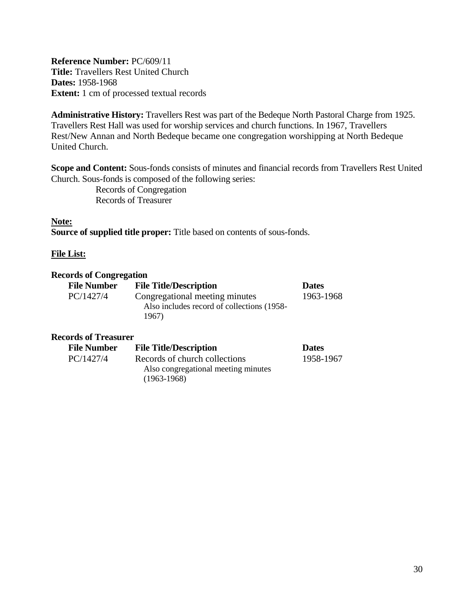<span id="page-29-0"></span>**Reference Number:** PC/609/11 **Title:** Travellers Rest United Church **Dates:** 1958-1968 **Extent:** 1 cm of processed textual records

**Administrative History:** Travellers Rest was part of the Bedeque North Pastoral Charge from 1925. Travellers Rest Hall was used for worship services and church functions. In 1967, Travellers Rest/New Annan and North Bedeque became one congregation worshipping at North Bedeque United Church.

**Scope and Content:** Sous-fonds consists of minutes and financial records from Travellers Rest United Church. Sous-fonds is composed of the following series:

> Records of Congregation Records of Treasurer

# **Note:**

**Source of supplied title proper:** Title based on contents of sous-fonds.

#### **File List:**

#### **Records of Congregation**

| <b>File Number</b> | <b>File Title/Description</b>              | <b>Dates</b> |
|--------------------|--------------------------------------------|--------------|
| PC/1427/4          | Congregational meeting minutes             | 1963-1968    |
|                    | Also includes record of collections (1958- |              |
|                    | 1967)                                      |              |

# **Records of Treasurer**

| <b>File Number</b> | <b>File Title/Description</b>                        | <b>Dates</b> |
|--------------------|------------------------------------------------------|--------------|
| PC/1427/4          | Records of church collections                        | 1958-1967    |
|                    | Also congregational meeting minutes<br>$(1963-1968)$ |              |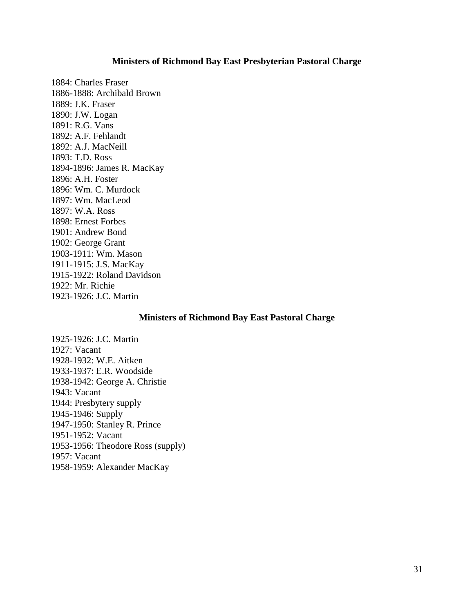#### **Ministers of Richmond Bay East Presbyterian Pastoral Charge**

<span id="page-30-0"></span>1884: Charles Fraser 1886-1888: Archibald Brown 1889: J.K. Fraser 1890: J.W. Logan 1891: R.G. Vans 1892: A.F. Fehlandt 1892: A.J. MacNeill 1893: T.D. Ross 1894-1896: James R. MacKay 1896: A.H. Foster 1896: Wm. C. Murdock 1897: Wm. MacLeod 1897: W.A. Ross 1898: Ernest Forbes 1901: Andrew Bond 1902: George Grant 1903-1911: Wm. Mason 1911-1915: J.S. MacKay 1915-1922: Roland Davidson 1922: Mr. Richie 1923-1926: J.C. Martin

#### **Ministers of Richmond Bay East Pastoral Charge**

<span id="page-30-1"></span>1925-1926: J.C. Martin 1927: Vacant 1928-1932: W.E. Aitken 1933-1937: E.R. Woodside 1938-1942: George A. Christie 1943: Vacant 1944: Presbytery supply 1945-1946: Supply 1947-1950: Stanley R. Prince 1951-1952: Vacant 1953-1956: Theodore Ross (supply) 1957: Vacant 1958-1959: Alexander MacKay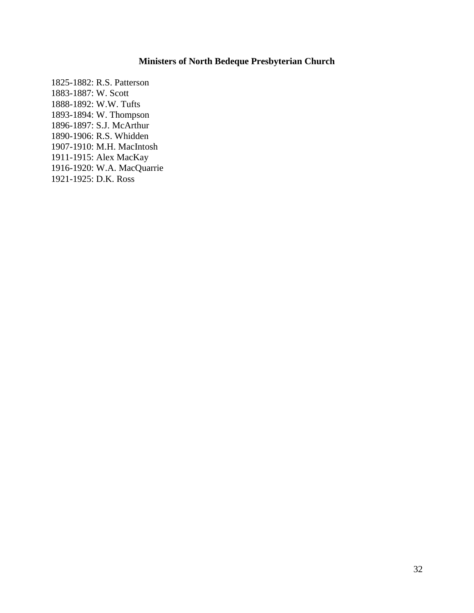# **Ministers of North Bedeque Presbyterian Church**

<span id="page-31-0"></span>1825-1882: R.S. Patterson 1883-1887: W. Scott 1888-1892: W.W. Tufts 1893-1894: W. Thompson 1896-1897: S.J. McArthur 1890-1906: R.S. Whidden 1907-1910: M.H. MacIntosh 1911-1915: Alex MacKay 1916-1920: W.A. MacQuarrie 1921-1925: D.K. Ross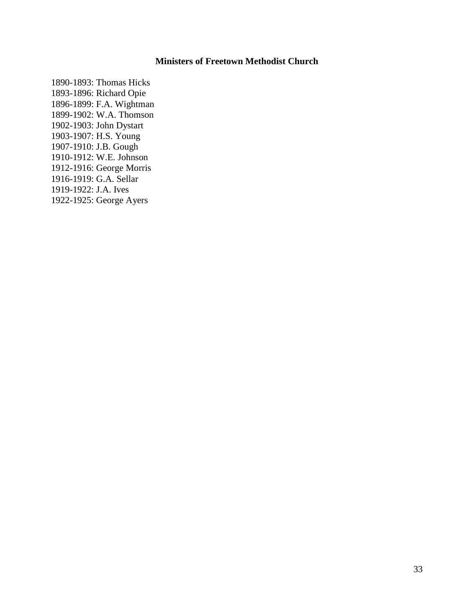# **Ministers of Freetown Methodist Church**

<span id="page-32-0"></span>1890-1893: Thomas Hicks 1893-1896: Richard Opie 1896-1899: F.A. Wightman 1899-1902: W.A. Thomson 1902-1903: John Dystart 1903-1907: H.S. Young 1907-1910: J.B. Gough 1910-1912: W.E. Johnson 1912-1916: George Morris 1916-1919: G.A. Sellar 1919-1922: J.A. Ives 1922-1925: George Ayers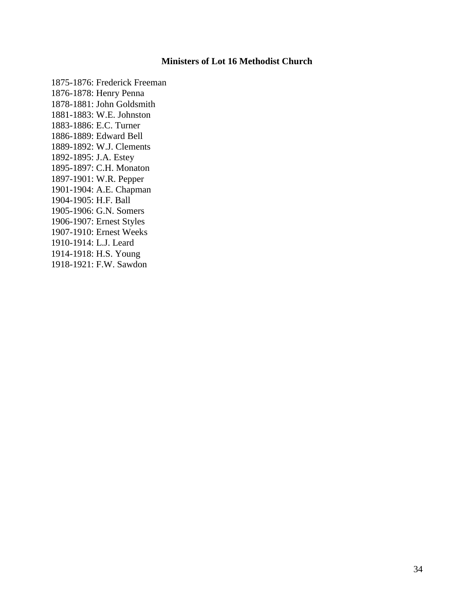# **Ministers of Lot 16 Methodist Church**

<span id="page-33-0"></span>1875-1876: Frederick Freeman 1876-1878: Henry Penna 1878-1881: John Goldsmith 1881-1883: W.E. Johnston 1883-1886: E.C. Turner 1886-1889: Edward Bell 1889-1892: W.J. Clements 1892-1895: J.A. Estey 1895-1897: C.H. Monaton 1897-1901: W.R. Pepper 1901-1904: A.E. Chapman 1904-1905: H.F. Ball 1905-1906: G.N. Somers 1906-1907: Ernest Styles 1907-1910: Ernest Weeks 1910-1914: L.J. Leard 1914-1918: H.S. Young 1918-1921: F.W. Sawdon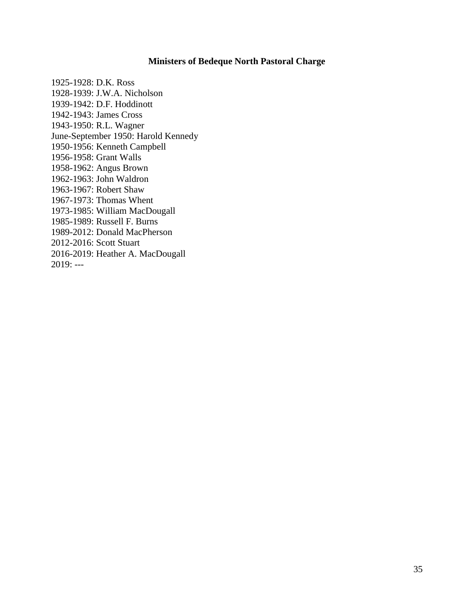# **Ministers of Bedeque North Pastoral Charge**

<span id="page-34-0"></span>1925-1928: D.K. Ross 1928-1939: J.W.A. Nicholson 1939-1942: D.F. Hoddinott 1942-1943: James Cross 1943-1950: R.L. Wagner June-September 1950: Harold Kennedy 1950-1956: Kenneth Campbell 1956-1958: Grant Walls 1958-1962: Angus Brown 1962-1963: John Waldron 1963-1967: Robert Shaw 1967-1973: Thomas Whent 1973-1985: William MacDougall 1985-1989: Russell F. Burns 1989-2012: Donald MacPherson 2012-2016: Scott Stuart 2016-2019: Heather A. MacDougall 2019: ---